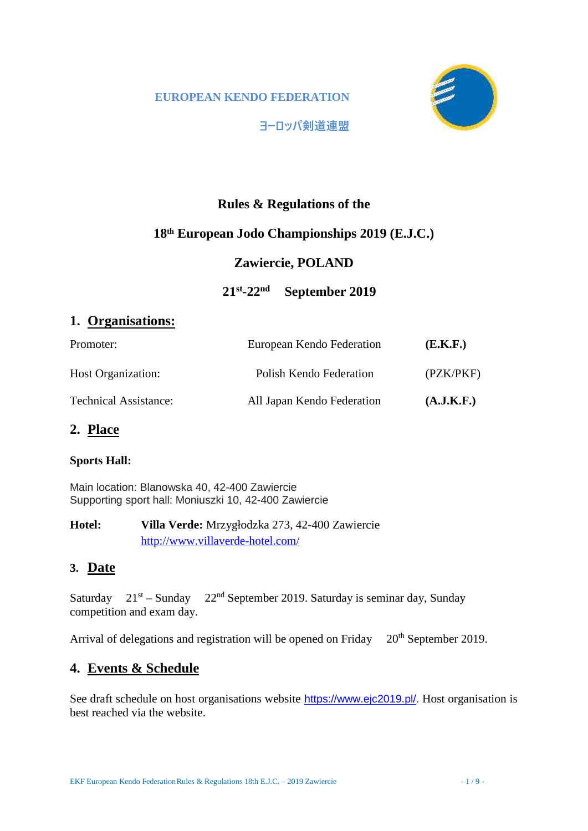

**ヨーロッパ剣道連盟**

# **Rules & Regulations of the**

# **18th European Jodo Championships 2019 (E.J.C.)**

# **Zawiercie, POLAND**

# **21st-22nd September 2019**

# **1. Organisations:**

| Promoter:                    | European Kendo Federation  | (E.K.F.)   |
|------------------------------|----------------------------|------------|
| <b>Host Organization:</b>    | Polish Kendo Federation    | (PZK/PKF)  |
| <b>Technical Assistance:</b> | All Japan Kendo Federation | (A.J.K.F.) |

# **2. Place**

## **Sports Hall:**

Main location: Blanowska 40, 42-400 Zawiercie Supporting sport hall: Moniuszki 10, 42-400 Zawiercie

**Hotel: Villa Verde:** Mrzygłodzka 273, 42-400 Zawiercie http://www.villaverde-hotel.com/

# **3. Date**

Saturday  $21^{st}$  – Sunday  $22^{nd}$  September 2019. Saturday is seminar day, Sunday competition and exam day.

Arrival of delegations and registration will be opened on Friday 20<sup>th</sup> September 2019.

# **4. Events & Schedule**

See draft schedule on host organisations website https://www.ejc2019.pl/. Host organisation is best reached via the website.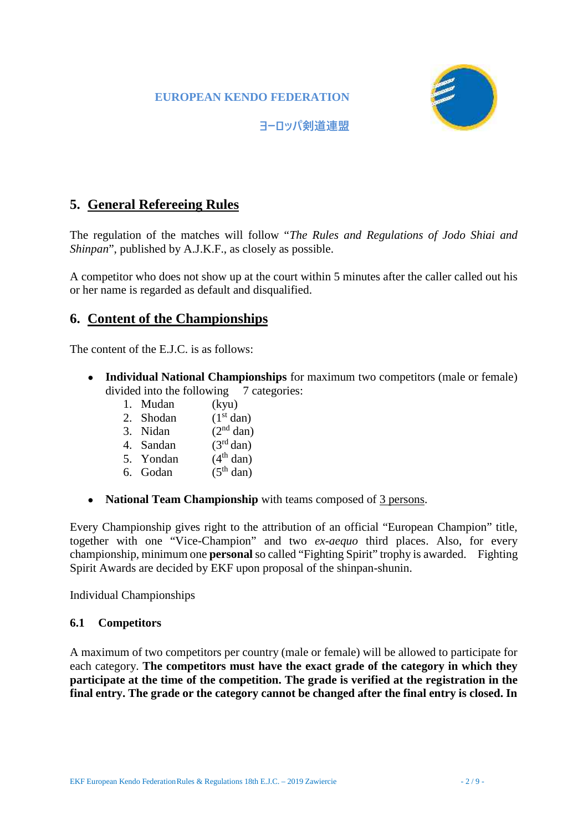

**ヨーロッパ剣道連盟**

# **5. General Refereeing Rules**

The regulation of the matches will follow "*The Rules and Regulations of Jodo Shiai and Shinpan*", published by A.J.K.F., as closely as possible.

A competitor who does not show up at the court within 5 minutes after the caller called out his or her name is regarded as default and disqualified.

# **6. Content of the Championships**

The content of the E.J.C. is as follows:

**Individual National Championships** for maximum two competitors (male or female) divided into the following 7 categories:

- 
- 1. Mudan  $(kyu)$ <br>2. Shodan  $(1<sup>st</sup> dan)$  $2.$  Shodan
- 3. Nidan  $(2<sup>nd</sup> dan)$
- 4. Sandan  $(3<sup>rd</sup> dan)$
- 5. Yondan  $(4<sup>th</sup> \text{ dan})$
- 6. Godan  $(5<sup>th</sup>$  dan)

**National Team Championship** with teams composed of 3 persons.

Every Championship gives right to the attribution of an official "European Champion" title, together with one "Vice-Champion" and two *ex-aequo* third places. Also, for every championship, minimum one **personal** so called "Fighting Spirit" trophy is awarded. Fighting Spirit Awards are decided by EKF upon proposal of the shinpan-shunin.

Individual Championships

#### **6.1 Competitors**

A maximum of two competitors per country (male or female) will be allowed to participate for each category. **The competitors must have the exact grade of the category in which they participate at the time of the competition. The grade is verified at the registration in the final entry. The grade or the category cannot be changed after the final entry is closed. In**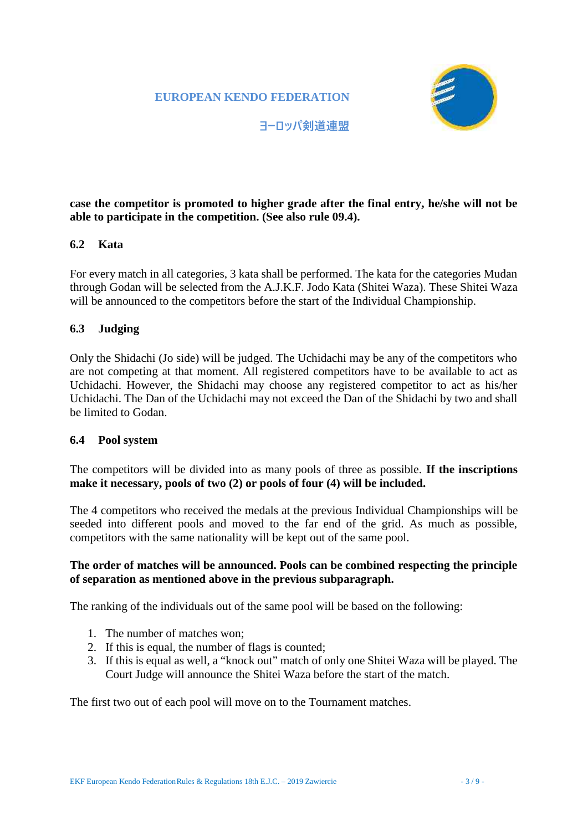

**ヨーロッパ剣道連盟**

## **case the competitor is promoted to higher grade after the final entry, he/she will not be able to participate in the competition. (See also rule 09.4).**

#### **6.2 Kata**

For every match in all categories, 3 kata shall be performed. The kata for the categories Mudan through Godan will be selected from the A.J.K.F. Jodo Kata (Shitei Waza). These Shitei Waza will be announced to the competitors before the start of the Individual Championship.

#### **6.3 Judging**

Only the Shidachi (Jo side) will be judged. The Uchidachi may be any of the competitors who are not competing at that moment. All registered competitors have to be available to act as Uchidachi. However, the Shidachi may choose any registered competitor to act as his/her Uchidachi. The Dan of the Uchidachi may not exceed the Dan of the Shidachi by two and shall be limited to Godan.

#### **6.4 Pool system**

The competitors will be divided into as many pools of three as possible. **If the inscriptions make it necessary, pools of two (2) or pools of four (4) will be included.**

The 4 competitors who received the medals at the previous Individual Championships will be seeded into different pools and moved to the far end of the grid. As much as possible, competitors with the same nationality will be kept out of the same pool.

#### **The order of matches will be announced. Pools can be combined respecting the principle of separation as mentioned above in the previous subparagraph.**

The ranking of the individuals out of the same pool will be based on the following:

- 1. The number of matches won;
- 2. If this is equal, the number of flags is counted;
- 3. If this is equal as well, a "knock out" match of only one Shitei Waza will be played. The Court Judge will announce the Shitei Waza before the start of the match.

The first two out of each pool will move on to the Tournament matches.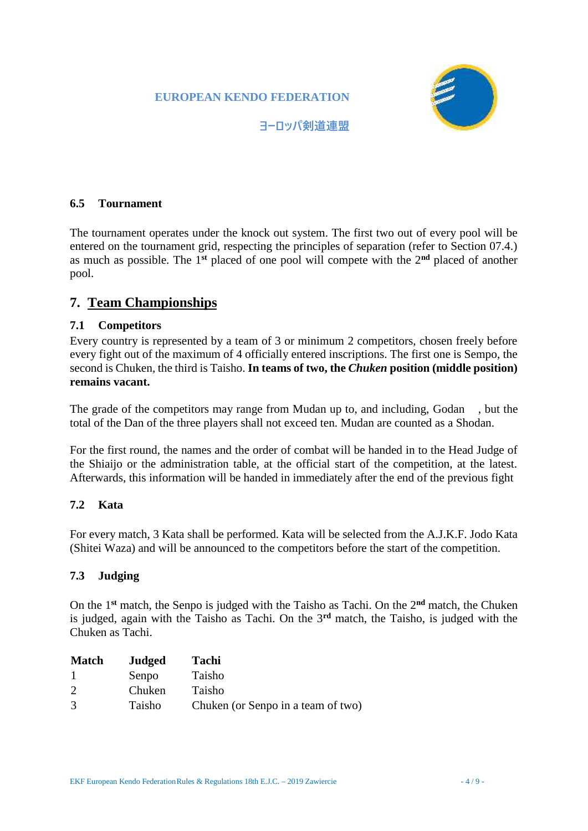

**ヨーロッパ剣道連盟**

### **6.5 Tournament**

The tournament operates under the knock out system. The first two out of every pool will be entered on the tournament grid, respecting the principles of separation (refer to Section 07.4.) as much as possible. The 1**st** placed of one pool will compete with the 2**nd** placed of another pool.

# **7. Team Championships**

#### **7.1 Competitors**

Every country is represented by a team of 3 or minimum 2 competitors, chosen freely before every fight out of the maximum of 4 officially entered inscriptions. The first one is Sempo, the second is Chuken, the third is Taisho. **In teams of two, the** *Chuken* **position (middle position) remains vacant.**

The grade of the competitors may range from Mudan up to, and including, Godan , but the total of the Dan of the three players shall not exceed ten. Mudan are counted as a Shodan.

For the first round, the names and the order of combat will be handed in to the Head Judge of the Shiaijo or the administration table, at the official start of the competition, at the latest. Afterwards, this information will be handed in immediately after the end of the previous fight

#### **7.2 Kata**

For every match, 3 Kata shall be performed. Kata will be selected from the A.J.K.F. Jodo Kata (Shitei Waza) and will be announced to the competitors before the start of the competition.

#### **7.3 Judging**

On the 1**st** match, the Senpo is judged with the Taisho as Tachi. On the 2**nd** match, the Chuken is judged, again with the Taisho as Tachi. On the 3**rd** match, the Taisho, is judged with the Chuken as Tachi.

| <b>Match</b>                | Judged | Tachi                              |
|-----------------------------|--------|------------------------------------|
| - 1                         | Senpo  | Taisho                             |
| $\mathcal{D}_{\mathcal{L}}$ | Chuken | Taisho                             |
| 3                           | Taisho | Chuken (or Senpo in a team of two) |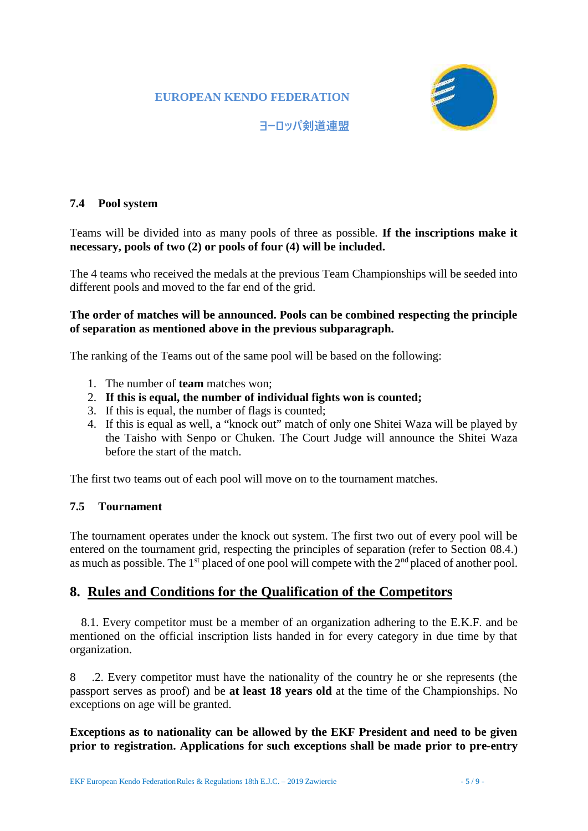

**ヨーロッパ剣道連盟**

#### **7.4 Pool system**

Teams will be divided into as many pools of three as possible. **If the inscriptions make it necessary, pools of two (2) or pools of four (4) will be included.**

The 4 teams who received the medals at the previous Team Championships will be seeded into different pools and moved to the far end of the grid.

#### **The order of matches will be announced. Pools can be combined respecting the principle of separation as mentioned above in the previous subparagraph.**

The ranking of the Teams out of the same pool will be based on the following:

- 1. The number of **team** matches won;
- 2. **If this is equal, the number of individual fights won is counted;**
- 3. If this is equal, the number of flags is counted;
- 4. If this is equal as well, a "knock out" match of only one Shitei Waza will be played by the Taisho with Senpo or Chuken. The Court Judge will announce the Shitei Waza before the start of the match.

The first two teams out of each pool will move on to the tournament matches.

#### **7.5 Tournament**

The tournament operates under the knock out system. The first two out of every pool will be entered on the tournament grid, respecting the principles of separation (refer to Section 08.4.) as much as possible. The  $1<sup>st</sup>$  placed of one pool will compete with the  $2<sup>nd</sup>$  placed of another pool.

# **8. Rules and Conditions for the Qualification of the Competitors**

8.1. Every competitor must be a member of an organization adhering to the E.K.F. and be mentioned on the official inscription lists handed in for every category in due time by that organization.

8 .2. Every competitor must have the nationality of the country he or she represents (the passport serves as proof) and be **at least 18 years old** at the time of the Championships. No exceptions on age will be granted.

#### **Exceptions as to nationality can be allowed by the EKF President and need to be given prior to registration. Applications for such exceptions shall be made prior to pre-entry**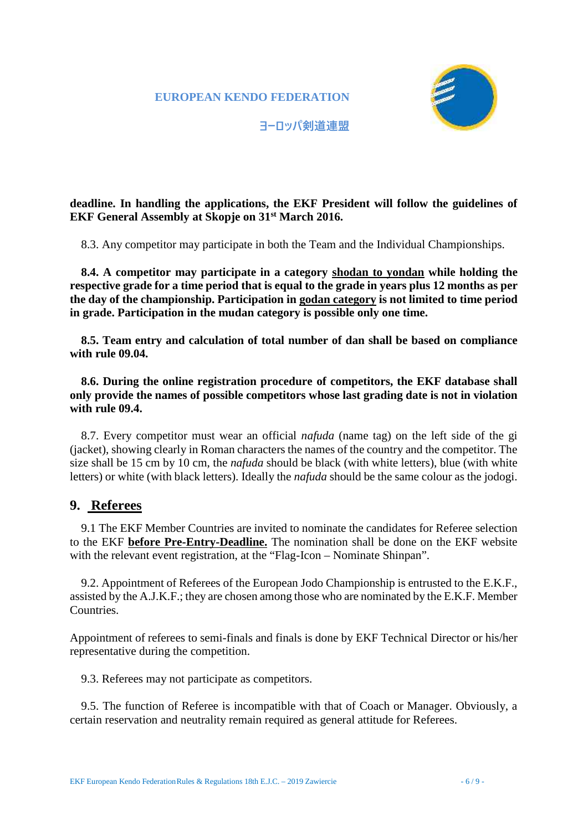

**ヨーロッパ剣道連盟**

## **deadline. In handling the applications, the EKF President will follow the guidelines of EKF General Assembly at Skopje on 31st March 2016.**

8.3. Any competitor may participate in both the Team and the Individual Championships.

**8.4. A competitor may participate in a category shodan to yondan while holding the respective grade for a time period that is equal to the grade in years plus 12 months as per the day of the championship. Participation in godan category is not limited to time period in grade. Participation in the mudan category is possible only one time.**

**8.5. Team entry and calculation of total number of dan shall be based on compliance with rule 09.04.**

**8.6. During the online registration procedure of competitors, the EKF database shall only provide the names of possible competitors whose last grading date is not in violation with rule 09.4.**

8.7. Every competitor must wear an official *nafuda* (name tag) on the left side of the gi (jacket), showing clearly in Roman characters the names of the country and the competitor. The size shall be 15 cm by 10 cm, the *nafuda* should be black (with white letters), blue (with white letters) or white (with black letters). Ideally the *nafuda* should be the same colour as the jodogi.

## **9. Referees**

9.1 The EKF Member Countries are invited to nominate the candidates for Referee selection to the EKF **before Pre-Entry-Deadline.** The nomination shall be done on the EKF website with the relevant event registration, at the "Flag-Icon – Nominate Shinpan".

9.2. Appointment of Referees of the European Jodo Championship is entrusted to the E.K.F., assisted by the A.J.K.F.; they are chosen among those who are nominated by the E.K.F. Member Countries.

Appointment of referees to semi-finals and finals is done by EKF Technical Director or his/her representative during the competition.

9.3. Referees may not participate as competitors.

9.5. The function of Referee is incompatible with that of Coach or Manager. Obviously, a certain reservation and neutrality remain required as general attitude for Referees.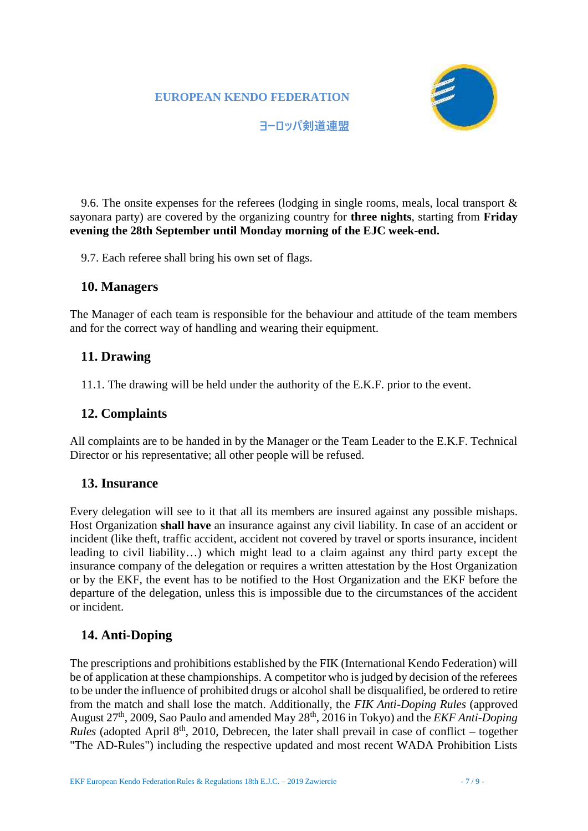

**ヨーロッパ剣道連盟**

9.6. The onsite expenses for the referees (lodging in single rooms, meals, local transport & sayonara party) are covered by the organizing country for **three nights**, starting from **Friday evening the 28th September until Monday morning of the EJC week-end.**

9.7. Each referee shall bring his own set of flags.

#### **10. Managers**

The Manager of each team is responsible for the behaviour and attitude of the team members and for the correct way of handling and wearing their equipment.

# **11. Drawing**

11.1. The drawing will be held under the authority of the E.K.F. prior to the event.

## **12. Complaints**

All complaints are to be handed in by the Manager or the Team Leader to the E.K.F. Technical Director or his representative; all other people will be refused.

## **13. Insurance**

Every delegation will see to it that all its members are insured against any possible mishaps. Host Organization **shall have** an insurance against any civil liability. In case of an accident or incident (like theft, traffic accident, accident not covered by travel or sports insurance, incident leading to civil liability…) which might lead to a claim against any third party except the insurance company of the delegation or requires a written attestation by the Host Organization or by the EKF, the event has to be notified to the Host Organization and the EKF before the departure of the delegation, unless this is impossible due to the circumstances of the accident or incident.

# **14. Anti-Doping**

The prescriptions and prohibitions established by the FIK (International Kendo Federation) will be of application at these championships. A competitor who is judged by decision of the referees to be under the influence of prohibited drugs or alcohol shall be disqualified, be ordered to retire from the match and shall lose the match. Additionally, the *FIK Anti-Doping Rules* (approved August 27th, 2009, Sao Paulo and amended May 28th, 2016 in Tokyo) and the *EKF Anti-Doping Rules* (adopted April  $8<sup>th</sup>$ , 2010, Debrecen, the later shall prevail in case of conflict – together "The AD-Rules") including the respective updated and most recent WADA Prohibition Lists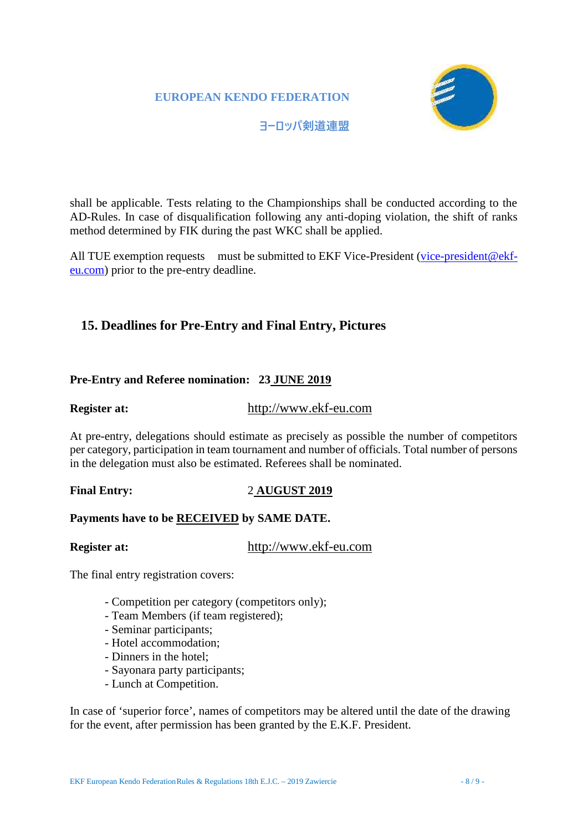

#### **ヨーロッパ剣道連盟**

shall be applicable. Tests relating to the Championships shall be conducted according to the AD-Rules. In case of disqualification following any anti-doping violation, the shift of ranks method determined by FIK during the past WKC shall be applied.

All TUE exemption requests must be submitted to EKF Vice-President (vice-president@ekfeu.com) prior to the pre-entry deadline.

# **15. Deadlines for Pre-Entry and Final Entry, Pictures**

#### **Pre-Entry and Referee nomination: 23 JUNE 2019**

## **Register at:** http://www.ekf-eu.com

At pre-entry, delegations should estimate as precisely as possible the number of competitors per category, participation in team tournament and number of officials. Total number of persons in the delegation must also be estimated. Referees shall be nominated.

#### **Final Entry:** 2 **AUGUST 2019**

#### **Payments have to be RECEIVED by SAME DATE.**

**Register at:** http://www.ekf-eu.com

The final entry registration covers:

- Competition per category (competitors only);
- Team Members (if team registered);
- Seminar participants;
- Hotel accommodation;
- Dinners in the hotel;
- Sayonara party participants;
- Lunch at Competition.

In case of 'superior force', names of competitors may be altered until the date of the drawing for the event, after permission has been granted by the E.K.F. President.